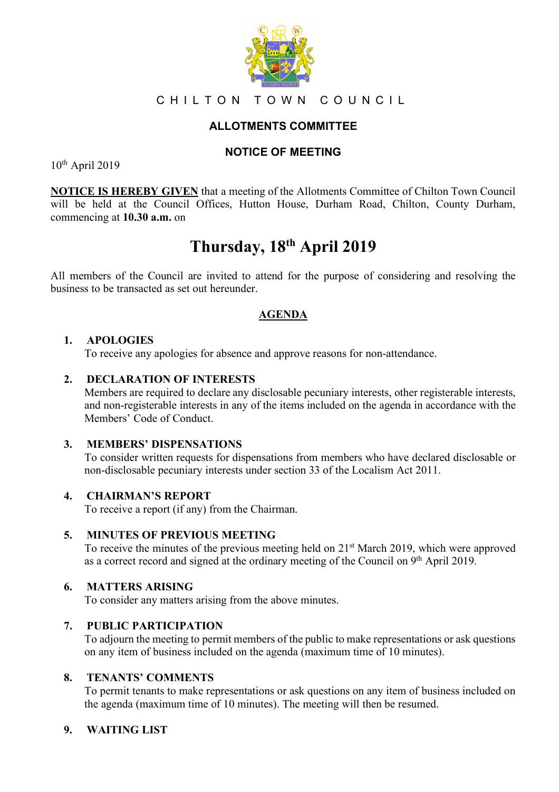

# CHILTON TOWN COUNCIL

# **ALLOTMENTS COMMITTEE**

# **NOTICE OF MEETING**

10th April 2019

**NOTICE IS HEREBY GIVEN** that a meeting of the Allotments Committee of Chilton Town Council will be held at the Council Offices, Hutton House, Durham Road, Chilton, County Durham, commencing at **10.30 a.m.** on

# **Thursday, 18th April 2019**

All members of the Council are invited to attend for the purpose of considering and resolving the business to be transacted as set out hereunder.

# **AGENDA**

## **1. APOLOGIES**

To receive any apologies for absence and approve reasons for non-attendance.

## **2. DECLARATION OF INTERESTS**

Members are required to declare any disclosable pecuniary interests, other registerable interests, and non-registerable interests in any of the items included on the agenda in accordance with the Members' Code of Conduct.

#### **3. MEMBERS' DISPENSATIONS**

To consider written requests for dispensations from members who have declared disclosable or non-disclosable pecuniary interests under section 33 of the Localism Act 2011.

#### **4. CHAIRMAN'S REPORT**

To receive a report (if any) from the Chairman.

#### **5. MINUTES OF PREVIOUS MEETING**

To receive the minutes of the previous meeting held on 21st March 2019, which were approved as a correct record and signed at the ordinary meeting of the Council on 9th April 2019.

#### **6. MATTERS ARISING**

To consider any matters arising from the above minutes.

#### **7. PUBLIC PARTICIPATION**

To adjourn the meeting to permit members of the public to make representations or ask questions on any item of business included on the agenda (maximum time of 10 minutes).

#### **8. TENANTS' COMMENTS**

To permit tenants to make representations or ask questions on any item of business included on the agenda (maximum time of 10 minutes). The meeting will then be resumed.

# **9. WAITING LIST**